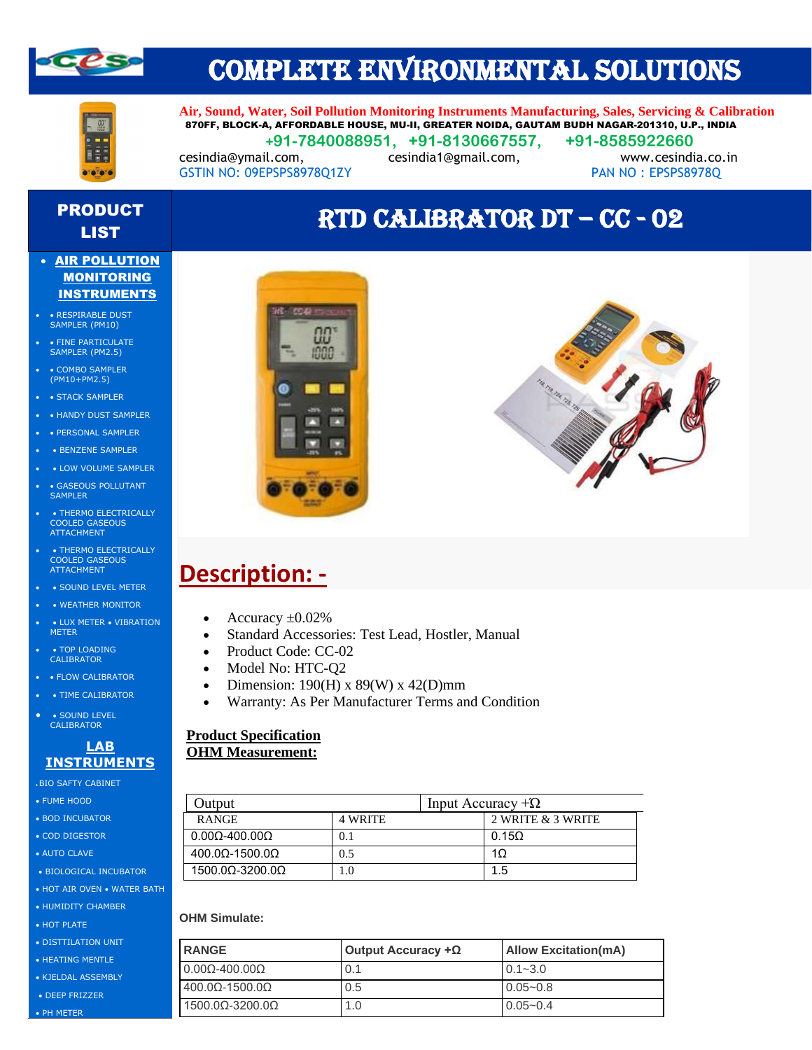

### COMPLETE ENVIRONMENTAL SOLUTIONS



**Air, Sound, Water, Soil Pollution Monitoring Instruments Manufacturing, Sales, Servicing & Calibration** 870FF, BLOCK-A, AFFORDABLE HOUSE, MU-II, GREATER NOIDA, GAUTAM BUDH NAGAR-201310, U.P., INDIA  **+91-7840088951, +91-8130667557, +91-8585922660**

cesindia@ymail.com, cesindia1@gmail.com, www.cesindia.co.in GSTIN NO: 09EPSPS8978Q1ZY PAN NO: EPSPS8978Q

# PRODUCT

#### • AIR POLLUTION **MONITORING** INSTRUMENTS

- RESPIRABLE DUST SAMPLER (PM10)
- $\bullet$  FINE PARTICULATE SAMPLER (PM2.5)
- COMBO SAMPLER (PM10+PM2.5)
- STACK SAMPLER
- • HANDY DUST SAMPLER
- PERSONAL SAMPLER
- BENZENE SAMPLER
- LOW VOLUME SAMPLER
- GASEOUS POLLUTANT SAMPLER
- • THERMO ELECTRICALLY COOLED GASEOUS ATTACHMENT
- THERMO ELECTRICALLY COOLED GASEOUS **ATTACHMENT**
- • SOUND LEVEL METER
- WEATHER MONITOR
- LUX METER VIBRATION **METER**
- TOP LOADING CALIBRATOR
- • FLOW CALIBRATOR
- TIME CALIBRATOR
- • SOUND LEVEL CALIBRATOR

#### **LAB INSTRUMENTS**

- BIO SAFTY CABINET
- FUME HOOD
- BOD INCUBATOR
- COD DIGESTOR
- AUTO CLAVE
- BIOLOGICAL INCUBATOR
- HOT AIR OVEN WATER BATH
- HUMIDITY CHAMBER
- HOT PLATE
- DISTTILATION UNIT
- HEATING MENTLE
- KJELDAL ASSEMBLY
- DEEP FRIZZER • PH METER



### ODUCT<br>LIST **RTD CALIBRATOR DT – CC - 02**



### **Description: -**

- Accuracy  $\pm 0.02\%$
- Standard Accessories: Test Lead, Hostler, Manual
- Product Code: CC-02
- Model No: HTC-Q2
- Dimension: 190(H) x 89(W) x 42(D)mm
- Warranty: As Per Manufacturer Terms and Condition

### **Product Specification OHM Measurement:**

| <b>Dutput</b>                  |                | Input Accuracy $+\Omega$ |                   |  |
|--------------------------------|----------------|--------------------------|-------------------|--|
| <b>RANGE</b>                   | <b>4 WRITE</b> |                          | 2 WRITE & 3 WRITE |  |
| $0.00\Omega$ -400.00 $\Omega$  | $0.1\,$        |                          | $0.15\Omega$      |  |
| $400.0\Omega$ -1500.0 $\Omega$ | 0.5            |                          | 1 $\Omega$        |  |
| $1500.0\Omega - 3200.0\Omega$  | 1.0            |                          | 1.5               |  |

#### **OHM Simulate:**

| <b>RANGE</b>                    | Output Accuracy $+\Omega$ | <b>Allow Excitation(mA)</b> |  |
|---------------------------------|---------------------------|-----------------------------|--|
| $0.000 - 400.000$               | 0.1                       | $0.1 - 3.0$                 |  |
| $1400.0\Omega$ -1500.0 $\Omega$ | 0.5                       | $0.05 - 0.8$                |  |
| $1500.00 - 3200.00$             | 1.0                       | $0.05 - 0.4$                |  |